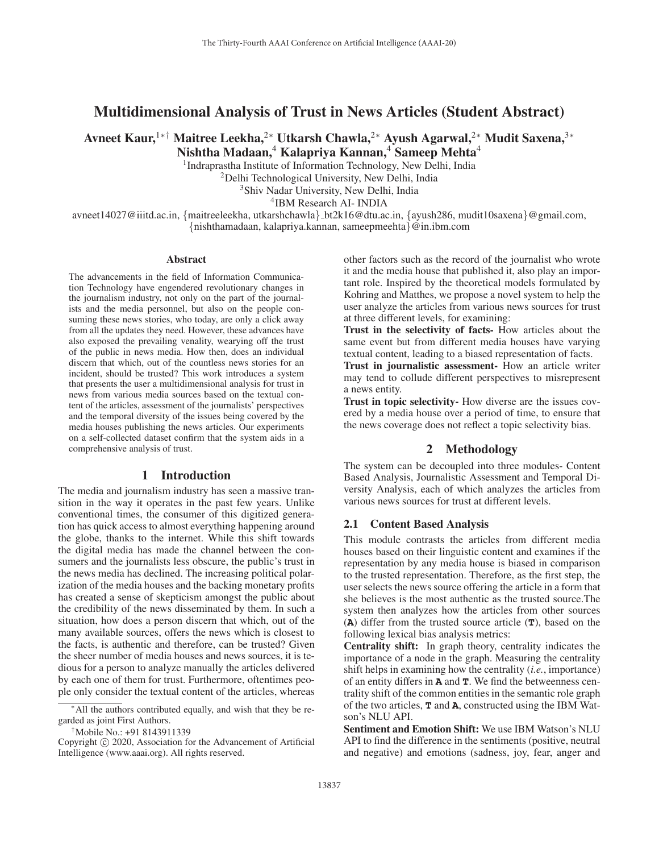# Multidimensional Analysis of Trust in News Articles (Student Abstract)

Avneet Kaur,<sup>1∗†</sup> Maitree Leekha,<sup>2</sup>\* Utkarsh Chawla,<sup>2</sup>\* Ayush Agarwal,<sup>2</sup>\* Mudit Saxena,<sup>3</sup>\* Nishtha Madaan,<sup>4</sup> Kalapriya Kannan,<sup>4</sup> Sameep Mehta<sup>4</sup>

<sup>1</sup>Indraprastha Institute of Information Technology, New Delhi, India

<sup>2</sup>Delhi Technological University, New Delhi, India

3Shiv Nadar University, New Delhi, India

4IBM Research AI- INDIA

avneet14027@iiitd.ac.in, {maitreeleekha, utkarshchawla} bt2k16@dtu.ac.in, {ayush286, mudit10saxena}@gmail.com, {nishthamadaan, kalapriya.kannan, sameepmeehta}@in.ibm.com

#### Abstract

The advancements in the field of Information Communication Technology have engendered revolutionary changes in the journalism industry, not only on the part of the journalists and the media personnel, but also on the people consuming these news stories, who today, are only a click away from all the updates they need. However, these advances have also exposed the prevailing venality, wearying off the trust of the public in news media. How then, does an individual discern that which, out of the countless news stories for an incident, should be trusted? This work introduces a system that presents the user a multidimensional analysis for trust in news from various media sources based on the textual content of the articles, assessment of the journalists' perspectives and the temporal diversity of the issues being covered by the media houses publishing the news articles. Our experiments on a self-collected dataset confirm that the system aids in a comprehensive analysis of trust.

## 1 Introduction

The media and journalism industry has seen a massive transition in the way it operates in the past few years. Unlike conventional times, the consumer of this digitized generation has quick access to almost everything happening around the globe, thanks to the internet. While this shift towards the digital media has made the channel between the consumers and the journalists less obscure, the public's trust in the news media has declined. The increasing political polarization of the media houses and the backing monetary profits has created a sense of skepticism amongst the public about the credibility of the news disseminated by them. In such a situation, how does a person discern that which, out of the many available sources, offers the news which is closest to the facts, is authentic and therefore, can be trusted? Given the sheer number of media houses and news sources, it is tedious for a person to analyze manually the articles delivered by each one of them for trust. Furthermore, oftentimes people only consider the textual content of the articles, whereas

†Mobile No.: +91 8143911339

other factors such as the record of the journalist who wrote it and the media house that published it, also play an important role. Inspired by the theoretical models formulated by Kohring and Matthes, we propose a novel system to help the user analyze the articles from various news sources for trust at three different levels, for examining:

Trust in the selectivity of facts- How articles about the same event but from different media houses have varying textual content, leading to a biased representation of facts.

Trust in journalistic assessment- How an article writer may tend to collude different perspectives to misrepresent a news entity.

Trust in topic selectivity- How diverse are the issues covered by a media house over a period of time, to ensure that the news coverage does not reflect a topic selectivity bias.

## 2 Methodology

The system can be decoupled into three modules- Content Based Analysis, Journalistic Assessment and Temporal Diversity Analysis, each of which analyzes the articles from various news sources for trust at different levels.

#### 2.1 Content Based Analysis

This module contrasts the articles from different media houses based on their linguistic content and examines if the representation by any media house is biased in comparison to the trusted representation. Therefore, as the first step, the user selects the news source offering the article in a form that she believes is the most authentic as the trusted source.The system then analyzes how the articles from other sources (**A**) differ from the trusted source article (**T**), based on the following lexical bias analysis metrics:

Centrality shift: In graph theory, centrality indicates the importance of a node in the graph. Measuring the centrality shift helps in examining how the centrality (*i.e.*, importance) of an entity differs in **A** and **T**. We find the betweenness centrality shift of the common entities in the semantic role graph of the two articles, **T** and **A**, constructed using the IBM Watson's NLU API.

Sentiment and Emotion Shift: We use IBM Watson's NLU API to find the difference in the sentiments (positive, neutral and negative) and emotions (sadness, joy, fear, anger and

<sup>∗</sup>All the authors contributed equally, and wish that they be regarded as joint First Authors.

Copyright  $\odot$  2020, Association for the Advancement of Artificial Intelligence (www.aaai.org). All rights reserved.